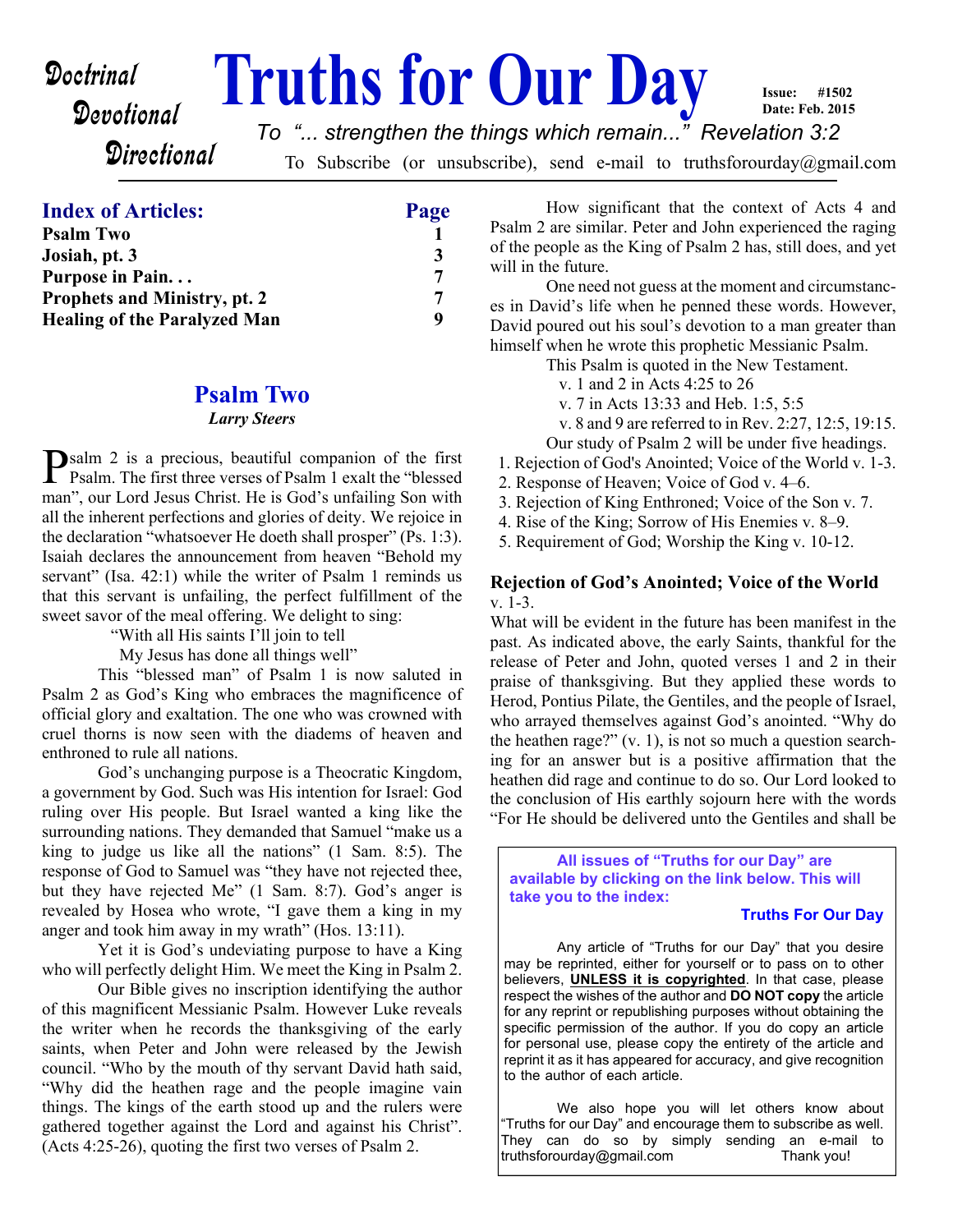# Devotional

**Doctrinal Truths for Our Day Date: Feb. 2015** *To "... strengthen the things which remain..." Revelation 3:2*

**Directional** 

To Subscribe (or unsubscribe), send e-mail to truthsforourday@gmail.com

#### **Index of Articles: Page**

| <b>Psalm Two</b>                    |   |
|-------------------------------------|---|
| Josiah, pt. 3                       | 3 |
| Purpose in Pain                     | 7 |
| <b>Prophets and Ministry, pt. 2</b> |   |
| <b>Healing of the Paralyzed Man</b> | q |
|                                     |   |

#### **Psalm Two**

#### *Larry Steers*

**P**salm 2 is a precious, beautiful companion of the first<br>Psalm. The first three verses of Psalm 1 exalt the "blessed" **I** Psalm. The first three verses of Psalm 1 exalt the "blessed" man", our Lord Jesus Christ. He is God's unfailing Son with all the inherent perfections and glories of deity. We rejoice in the declaration "whatsoever He doeth shall prosper" (Ps. 1:3). Isaiah declares the announcement from heaven "Behold my servant" (Isa. 42:1) while the writer of Psalm 1 reminds us that this servant is unfailing, the perfect fulfillment of the sweet savor of the meal offering. We delight to sing:

"With all His saints I'll join to tell

My Jesus has done all things well"

 This "blessed man" of Psalm 1 is now saluted in Psalm 2 as God's King who embraces the magnificence of official glory and exaltation. The one who was crowned with cruel thorns is now seen with the diadems of heaven and enthroned to rule all nations.

 God's unchanging purpose is a Theocratic Kingdom, a government by God. Such was His intention for Israel: God ruling over His people. But Israel wanted a king like the surrounding nations. They demanded that Samuel "make us a king to judge us like all the nations" (1 Sam. 8:5). The response of God to Samuel was "they have not rejected thee, but they have rejected Me" (1 Sam. 8:7). God's anger is revealed by Hosea who wrote, "I gave them a king in my anger and took him away in my wrath" (Hos. 13:11).

 Yet it is God's undeviating purpose to have a King who will perfectly delight Him. We meet the King in Psalm 2.

 Our Bible gives no inscription identifying the author of this magnificent Messianic Psalm. However Luke reveals the writer when he records the thanksgiving of the early saints, when Peter and John were released by the Jewish council. "Who by the mouth of thy servant David hath said, "Why did the heathen rage and the people imagine vain things. The kings of the earth stood up and the rulers were gathered together against the Lord and against his Christ". (Acts 4:25-26), quoting the first two verses of Psalm 2.

 How significant that the context of Acts 4 and Psalm 2 are similar. Peter and John experienced the raging of the people as the King of Psalm 2 has, still does, and yet will in the future.

**Issue: #1502**

 One need not guess at the moment and circumstances in David's life when he penned these words. However, David poured out his soul's devotion to a man greater than himself when he wrote this prophetic Messianic Psalm.

This Psalm is quoted in the New Testament.

- v. 1 and 2 in Acts 4:25 to 26
- v. 7 in Acts 13:33 and Heb. 1:5, 5:5
- v. 8 and 9 are referred to in Rev. 2:27, 12:5, 19:15.
- Our study of Psalm 2 will be under five headings.

1. Rejection of God's Anointed; Voice of the World v. 1-3.

- 2. Response of Heaven; Voice of God v. 4–6.
- 3. Rejection of King Enthroned; Voice of the Son v. 7.
- 4. Rise of the King; Sorrow of His Enemies v. 8–9.

5. Requirement of God; Worship the King v. 10-12.

#### **Rejection of God's Anointed; Voice of the World**  $v$  1-3.

What will be evident in the future has been manifest in the past. As indicated above, the early Saints, thankful for the release of Peter and John, quoted verses 1 and 2 in their praise of thanksgiving. But they applied these words to Herod, Pontius Pilate, the Gentiles, and the people of Israel, who arrayed themselves against God's anointed. "Why do the heathen rage?" (v. 1), is not so much a question searching for an answer but is a positive affirmation that the heathen did rage and continue to do so. Our Lord looked to the conclusion of His earthly sojourn here with the words "For He should be delivered unto the Gentiles and shall be

**All issues of "Truths for our Day" are available by clicking on the link below. This will take you to the index:**

#### **Truths For Our Day**

 Any article of "Truths for our Day" that you desire may be reprinted, either for yourself or to pass on to other believers, **UNLESS it is copyrighted**. In that case, please respect the wishes of the author and **DO NOT copy** the article for any reprint or republishing purposes without obtaining the specific permission of the author. If you do copy an article for personal use, please copy the entirety of the article and reprint it as it has appeared for accuracy, and give recognition to the author of each article.

 We also hope you will let others know about "Truths for our Day" and encourage them to subscribe as well. They can do so by simply sending an e-mail to truthsforourday@gmail.com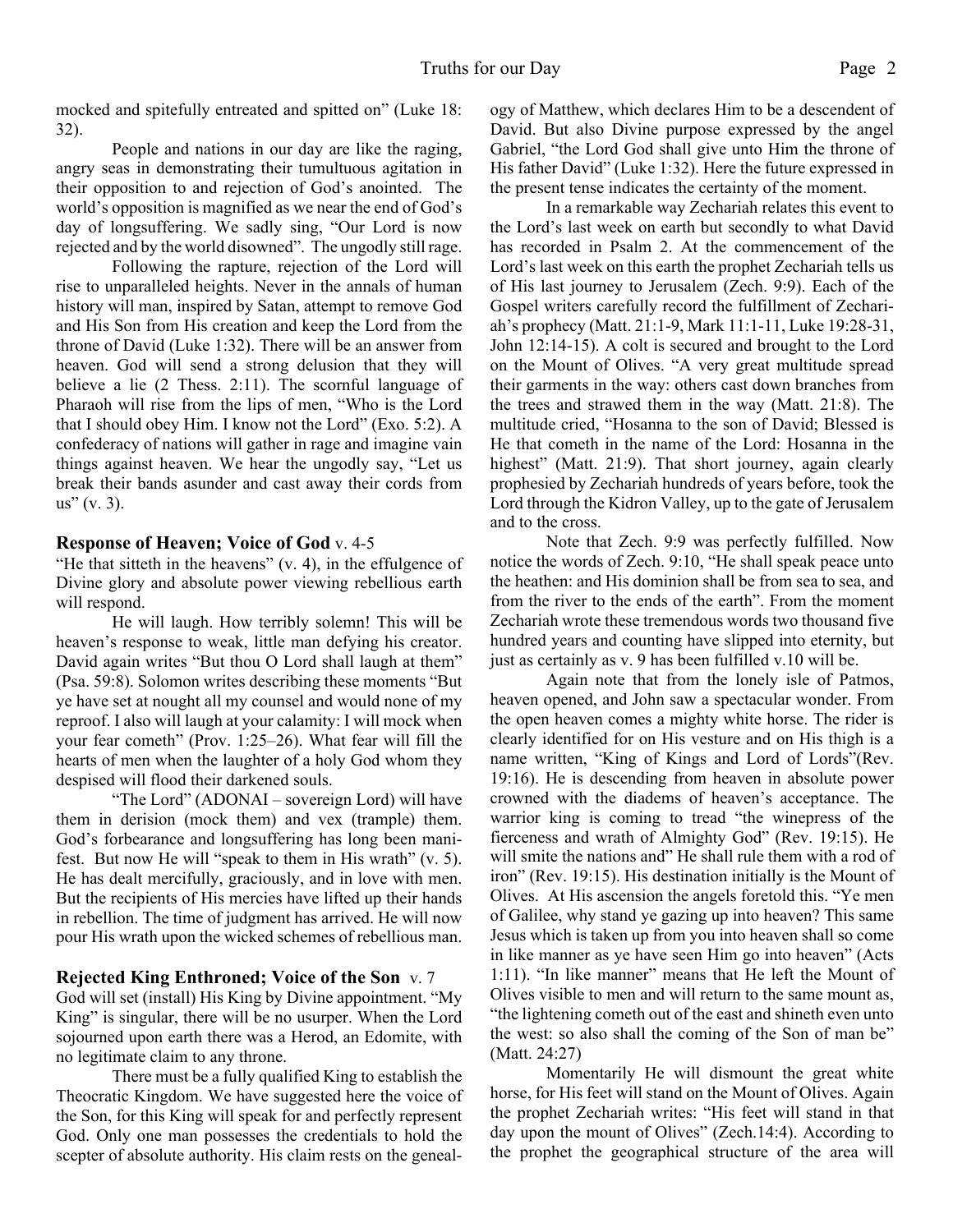mocked and spitefully entreated and spitted on" (Luke 18: 32).

 People and nations in our day are like the raging, angry seas in demonstrating their tumultuous agitation in their opposition to and rejection of God's anointed. The world's opposition is magnified as we near the end of God's day of longsuffering. We sadly sing, "Our Lord is now rejected and by the world disowned". The ungodly still rage.

 Following the rapture, rejection of the Lord will rise to unparalleled heights. Never in the annals of human history will man, inspired by Satan, attempt to remove God and His Son from His creation and keep the Lord from the throne of David (Luke 1:32). There will be an answer from heaven. God will send a strong delusion that they will believe a lie (2 Thess. 2:11). The scornful language of Pharaoh will rise from the lips of men, "Who is the Lord that I should obey Him. I know not the Lord" (Exo. 5:2). A confederacy of nations will gather in rage and imagine vain things against heaven. We hear the ungodly say, "Let us break their bands asunder and cast away their cords from  $us''(v. 3)$ .

#### **Response of Heaven; Voice of God** v. 4-5

"He that sitteth in the heavens" (v. 4), in the effulgence of Divine glory and absolute power viewing rebellious earth will respond.

 He will laugh. How terribly solemn! This will be heaven's response to weak, little man defying his creator. David again writes "But thou O Lord shall laugh at them" (Psa. 59:8). Solomon writes describing these moments "But ye have set at nought all my counsel and would none of my reproof. I also will laugh at your calamity: I will mock when your fear cometh" (Prov. 1:25–26). What fear will fill the hearts of men when the laughter of a holy God whom they despised will flood their darkened souls.

 "The Lord" (ADONAI – sovereign Lord) will have them in derision (mock them) and vex (trample) them. God's forbearance and longsuffering has long been manifest. But now He will "speak to them in His wrath" (v. 5). He has dealt mercifully, graciously, and in love with men. But the recipients of His mercies have lifted up their hands in rebellion. The time of judgment has arrived. He will now pour His wrath upon the wicked schemes of rebellious man.

#### **Rejected King Enthroned; Voice of the Son** v. 7

God will set (install) His King by Divine appointment. "My King" is singular, there will be no usurper. When the Lord sojourned upon earth there was a Herod, an Edomite, with no legitimate claim to any throne.

 There must be a fully qualified King to establish the Theocratic Kingdom. We have suggested here the voice of the Son, for this King will speak for and perfectly represent God. Only one man possesses the credentials to hold the scepter of absolute authority. His claim rests on the genealogy of Matthew, which declares Him to be a descendent of David. But also Divine purpose expressed by the angel Gabriel, "the Lord God shall give unto Him the throne of His father David" (Luke 1:32). Here the future expressed in the present tense indicates the certainty of the moment.

 In a remarkable way Zechariah relates this event to the Lord's last week on earth but secondly to what David has recorded in Psalm 2. At the commencement of the Lord's last week on this earth the prophet Zechariah tells us of His last journey to Jerusalem (Zech. 9:9). Each of the Gospel writers carefully record the fulfillment of Zechariah's prophecy (Matt. 21:1-9, Mark 11:1-11, Luke 19:28-31, John 12:14-15). A colt is secured and brought to the Lord on the Mount of Olives. "A very great multitude spread their garments in the way: others cast down branches from the trees and strawed them in the way (Matt. 21:8). The multitude cried, "Hosanna to the son of David; Blessed is He that cometh in the name of the Lord: Hosanna in the highest" (Matt. 21:9). That short journey, again clearly prophesied by Zechariah hundreds of years before, took the Lord through the Kidron Valley, up to the gate of Jerusalem and to the cross.

 Note that Zech. 9:9 was perfectly fulfilled. Now notice the words of Zech. 9:10, "He shall speak peace unto the heathen: and His dominion shall be from sea to sea, and from the river to the ends of the earth". From the moment Zechariah wrote these tremendous words two thousand five hundred years and counting have slipped into eternity, but just as certainly as v. 9 has been fulfilled v.10 will be.

 Again note that from the lonely isle of Patmos, heaven opened, and John saw a spectacular wonder. From the open heaven comes a mighty white horse. The rider is clearly identified for on His vesture and on His thigh is a name written, "King of Kings and Lord of Lords"(Rev. 19:16). He is descending from heaven in absolute power crowned with the diadems of heaven's acceptance. The warrior king is coming to tread "the winepress of the fierceness and wrath of Almighty God" (Rev. 19:15). He will smite the nations and" He shall rule them with a rod of iron" (Rev. 19:15). His destination initially is the Mount of Olives. At His ascension the angels foretold this. "Ye men of Galilee, why stand ye gazing up into heaven? This same Jesus which is taken up from you into heaven shall so come in like manner as ye have seen Him go into heaven" (Acts 1:11). "In like manner" means that He left the Mount of Olives visible to men and will return to the same mount as, "the lightening cometh out of the east and shineth even unto the west: so also shall the coming of the Son of man be" (Matt. 24:27)

 Momentarily He will dismount the great white horse, for His feet will stand on the Mount of Olives. Again the prophet Zechariah writes: "His feet will stand in that day upon the mount of Olives" (Zech.14:4). According to the prophet the geographical structure of the area will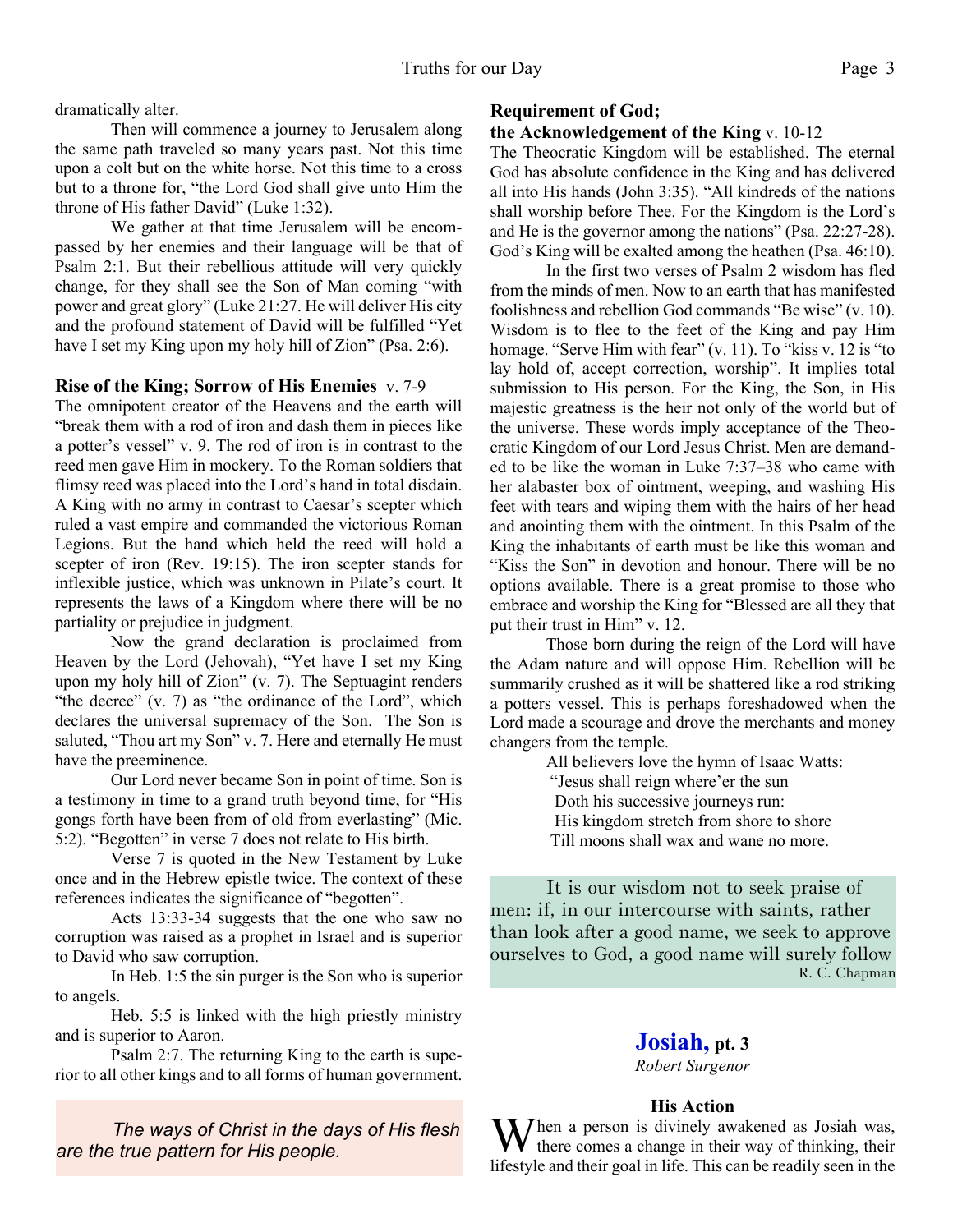dramatically alter.

 Then will commence a journey to Jerusalem along the same path traveled so many years past. Not this time upon a colt but on the white horse. Not this time to a cross but to a throne for, "the Lord God shall give unto Him the throne of His father David" (Luke 1:32).

 We gather at that time Jerusalem will be encompassed by her enemies and their language will be that of Psalm 2:1. But their rebellious attitude will very quickly change, for they shall see the Son of Man coming "with power and great glory" (Luke 21:27. He will deliver His city and the profound statement of David will be fulfilled "Yet have I set my King upon my holy hill of Zion" (Psa. 2:6).

#### **Rise of the King; Sorrow of His Enemies** v. 7-9

The omnipotent creator of the Heavens and the earth will "break them with a rod of iron and dash them in pieces like a potter's vessel" v. 9. The rod of iron is in contrast to the reed men gave Him in mockery. To the Roman soldiers that flimsy reed was placed into the Lord's hand in total disdain. A King with no army in contrast to Caesar's scepter which ruled a vast empire and commanded the victorious Roman Legions. But the hand which held the reed will hold a scepter of iron (Rev. 19:15). The iron scepter stands for inflexible justice, which was unknown in Pilate's court. It represents the laws of a Kingdom where there will be no partiality or prejudice in judgment.

 Now the grand declaration is proclaimed from Heaven by the Lord (Jehovah), "Yet have I set my King upon my holy hill of Zion" (v. 7). The Septuagint renders "the decree" (v. 7) as "the ordinance of the Lord", which declares the universal supremacy of the Son. The Son is saluted, "Thou art my Son" v. 7. Here and eternally He must have the preeminence.

 Our Lord never became Son in point of time. Son is a testimony in time to a grand truth beyond time, for "His gongs forth have been from of old from everlasting" (Mic. 5:2). "Begotten" in verse 7 does not relate to His birth.

 Verse 7 is quoted in the New Testament by Luke once and in the Hebrew epistle twice. The context of these references indicates the significance of "begotten".

 Acts 13:33-34 suggests that the one who saw no corruption was raised as a prophet in Israel and is superior to David who saw corruption.

 In Heb. 1:5 the sin purger is the Son who is superior to angels.

 Heb. 5:5 is linked with the high priestly ministry and is superior to Aaron.

 Psalm 2:7. The returning King to the earth is superior to all other kings and to all forms of human government.

*The ways of Christ in the days of His flesh are the true pattern for His people.*

#### **Requirement of God;**

#### **the Acknowledgement of the King** v. 10-12

The Theocratic Kingdom will be established. The eternal God has absolute confidence in the King and has delivered all into His hands (John 3:35). "All kindreds of the nations shall worship before Thee. For the Kingdom is the Lord's and He is the governor among the nations" (Psa. 22:27-28). God's King will be exalted among the heathen (Psa. 46:10).

 In the first two verses of Psalm 2 wisdom has fled from the minds of men. Now to an earth that has manifested foolishness and rebellion God commands "Be wise" (v. 10). Wisdom is to flee to the feet of the King and pay Him homage. "Serve Him with fear" (v. 11). To "kiss v. 12 is "to lay hold of, accept correction, worship". It implies total submission to His person. For the King, the Son, in His majestic greatness is the heir not only of the world but of the universe. These words imply acceptance of the Theocratic Kingdom of our Lord Jesus Christ. Men are demanded to be like the woman in Luke 7:37–38 who came with her alabaster box of ointment, weeping, and washing His feet with tears and wiping them with the hairs of her head and anointing them with the ointment. In this Psalm of the King the inhabitants of earth must be like this woman and "Kiss the Son" in devotion and honour. There will be no options available. There is a great promise to those who embrace and worship the King for "Blessed are all they that put their trust in Him" v. 12.

 Those born during the reign of the Lord will have the Adam nature and will oppose Him. Rebellion will be summarily crushed as it will be shattered like a rod striking a potters vessel. This is perhaps foreshadowed when the Lord made a scourage and drove the merchants and money changers from the temple.

> All believers love the hymn of Isaac Watts: "Jesus shall reign where'er the sun Doth his successive journeys run: His kingdom stretch from shore to shore Till moons shall wax and wane no more.

It is our wisdom not to seek praise of men: if, in our intercourse with saints, rather than look after a good name, we seek to approve ourselves to God, a good name will surely follow R. C. Chapman

# **Josiah, pt. 3**

*Robert Surgenor*

#### **His Action**

 $M$ hen a person is divinely awakened as Josiah was, there comes a change in their way of thinking, their lifestyle and their goal in life. This can be readily seen in the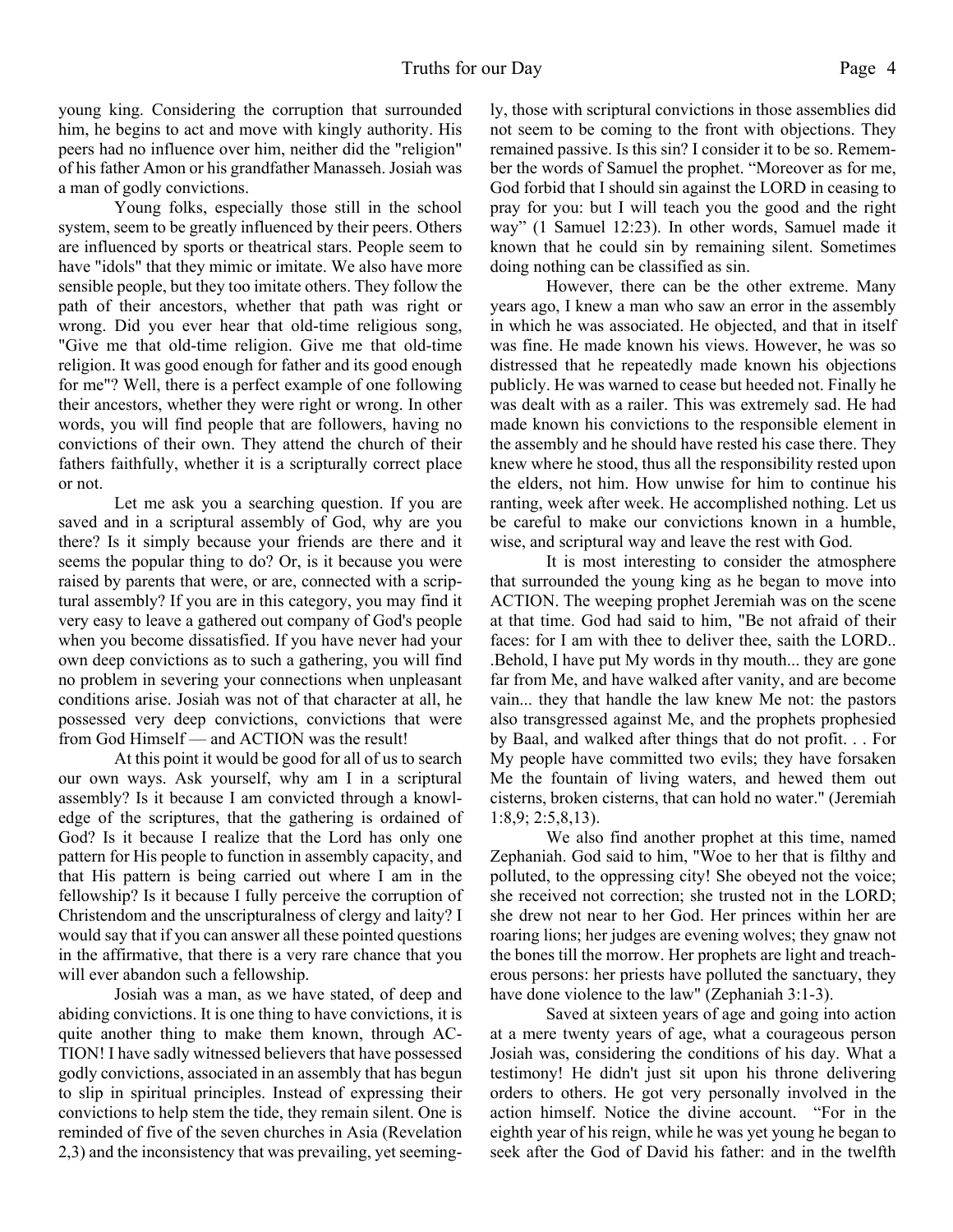young king. Considering the corruption that surrounded him, he begins to act and move with kingly authority. His peers had no influence over him, neither did the "religion" of his father Amon or his grandfather Manasseh. Josiah was a man of godly convictions.

 Young folks, especially those still in the school system, seem to be greatly influenced by their peers. Others are influenced by sports or theatrical stars. People seem to have "idols" that they mimic or imitate. We also have more sensible people, but they too imitate others. They follow the path of their ancestors, whether that path was right or wrong. Did you ever hear that old-time religious song, "Give me that old-time religion. Give me that old-time religion. It was good enough for father and its good enough for me"? Well, there is a perfect example of one following their ancestors, whether they were right or wrong. In other words, you will find people that are followers, having no convictions of their own. They attend the church of their fathers faithfully, whether it is a scripturally correct place or not.

 Let me ask you a searching question. If you are saved and in a scriptural assembly of God, why are you there? Is it simply because your friends are there and it seems the popular thing to do? Or, is it because you were raised by parents that were, or are, connected with a scriptural assembly? If you are in this category, you may find it very easy to leave a gathered out company of God's people when you become dissatisfied. If you have never had your own deep convictions as to such a gathering, you will find no problem in severing your connections when unpleasant conditions arise. Josiah was not of that character at all, he possessed very deep convictions, convictions that were from God Himself — and ACTION was the result!

 At this point it would be good for all of us to search our own ways. Ask yourself, why am I in a scriptural assembly? Is it because I am convicted through a knowledge of the scriptures, that the gathering is ordained of God? Is it because I realize that the Lord has only one pattern for His people to function in assembly capacity, and that His pattern is being carried out where I am in the fellowship? Is it because I fully perceive the corruption of Christendom and the unscripturalness of clergy and laity? I would say that if you can answer all these pointed questions in the affirmative, that there is a very rare chance that you will ever abandon such a fellowship.

 Josiah was a man, as we have stated, of deep and abiding convictions. It is one thing to have convictions, it is quite another thing to make them known, through AC-TION! I have sadly witnessed believers that have possessed godly convictions, associated in an assembly that has begun to slip in spiritual principles. Instead of expressing their convictions to help stem the tide, they remain silent. One is reminded of five of the seven churches in Asia (Revelation 2,3) and the inconsistency that was prevailing, yet seemingly, those with scriptural convictions in those assemblies did not seem to be coming to the front with objections. They remained passive. Is this sin? I consider it to be so. Remember the words of Samuel the prophet. "Moreover as for me, God forbid that I should sin against the LORD in ceasing to pray for you: but I will teach you the good and the right way" (1 Samuel 12:23). In other words, Samuel made it known that he could sin by remaining silent. Sometimes doing nothing can be classified as sin.

 However, there can be the other extreme. Many years ago, I knew a man who saw an error in the assembly in which he was associated. He objected, and that in itself was fine. He made known his views. However, he was so distressed that he repeatedly made known his objections publicly. He was warned to cease but heeded not. Finally he was dealt with as a railer. This was extremely sad. He had made known his convictions to the responsible element in the assembly and he should have rested his case there. They knew where he stood, thus all the responsibility rested upon the elders, not him. How unwise for him to continue his ranting, week after week. He accomplished nothing. Let us be careful to make our convictions known in a humble, wise, and scriptural way and leave the rest with God.

 It is most interesting to consider the atmosphere that surrounded the young king as he began to move into ACTION. The weeping prophet Jeremiah was on the scene at that time. God had said to him, "Be not afraid of their faces: for I am with thee to deliver thee, saith the LORD.. .Behold, I have put My words in thy mouth... they are gone far from Me, and have walked after vanity, and are become vain... they that handle the law knew Me not: the pastors also transgressed against Me, and the prophets prophesied by Baal, and walked after things that do not profit. . . For My people have committed two evils; they have forsaken Me the fountain of living waters, and hewed them out cisterns, broken cisterns, that can hold no water." (Jeremiah 1:8,9; 2:5,8,13).

We also find another prophet at this time, named Zephaniah. God said to him, "Woe to her that is filthy and polluted, to the oppressing city! She obeyed not the voice; she received not correction; she trusted not in the LORD; she drew not near to her God. Her princes within her are roaring lions; her judges are evening wolves; they gnaw not the bones till the morrow. Her prophets are light and treacherous persons: her priests have polluted the sanctuary, they have done violence to the law" (Zephaniah 3:1-3).

 Saved at sixteen years of age and going into action at a mere twenty years of age, what a courageous person Josiah was, considering the conditions of his day. What a testimony! He didn't just sit upon his throne delivering orders to others. He got very personally involved in the action himself. Notice the divine account. "For in the eighth year of his reign, while he was yet young he began to seek after the God of David his father: and in the twelfth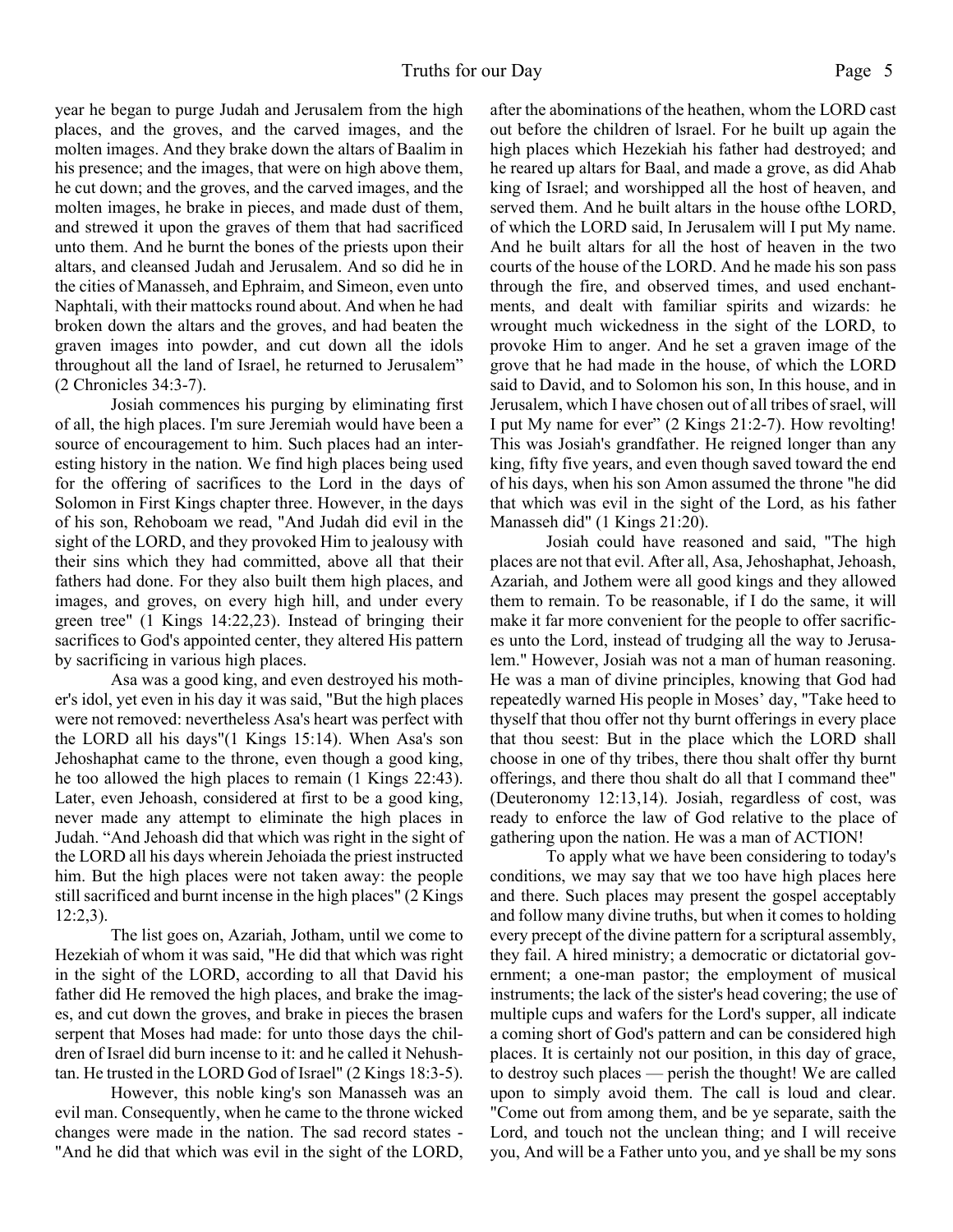year he began to purge Judah and Jerusalem from the high places, and the groves, and the carved images, and the molten images. And they brake down the altars of Baalim in his presence; and the images, that were on high above them, he cut down; and the groves, and the carved images, and the molten images, he brake in pieces, and made dust of them, and strewed it upon the graves of them that had sacrificed unto them. And he burnt the bones of the priests upon their altars, and cleansed Judah and Jerusalem. And so did he in the cities of Manasseh, and Ephraim, and Simeon, even unto Naphtali, with their mattocks round about. And when he had broken down the altars and the groves, and had beaten the graven images into powder, and cut down all the idols throughout all the land of Israel, he returned to Jerusalem" (2 Chronicles 34:3-7).

 Josiah commences his purging by eliminating first of all, the high places. I'm sure Jeremiah would have been a source of encouragement to him. Such places had an interesting history in the nation. We find high places being used for the offering of sacrifices to the Lord in the days of Solomon in First Kings chapter three. However, in the days of his son, Rehoboam we read, "And Judah did evil in the sight of the LORD, and they provoked Him to jealousy with their sins which they had committed, above all that their fathers had done. For they also built them high places, and images, and groves, on every high hill, and under every green tree" (1 Kings 14:22,23). Instead of bringing their sacrifices to God's appointed center, they altered His pattern by sacrificing in various high places.

 Asa was a good king, and even destroyed his mother's idol, yet even in his day it was said, "But the high places were not removed: nevertheless Asa's heart was perfect with the LORD all his days"(1 Kings 15:14). When Asa's son Jehoshaphat came to the throne, even though a good king, he too allowed the high places to remain (1 Kings 22:43). Later, even Jehoash, considered at first to be a good king, never made any attempt to eliminate the high places in Judah. "And Jehoash did that which was right in the sight of the LORD all his days wherein Jehoiada the priest instructed him. But the high places were not taken away: the people still sacrificed and burnt incense in the high places" (2 Kings 12:2,3).

 The list goes on, Azariah, Jotham, until we come to Hezekiah of whom it was said, "He did that which was right in the sight of the LORD, according to all that David his father did He removed the high places, and brake the images, and cut down the groves, and brake in pieces the brasen serpent that Moses had made: for unto those days the children of Israel did burn incense to it: and he called it Nehushtan. He trusted in the LORD God of Israel" (2 Kings 18:3-5).

 However, this noble king's son Manasseh was an evil man. Consequently, when he came to the throne wicked changes were made in the nation. The sad record states - "And he did that which was evil in the sight of the LORD, after the abominations of the heathen, whom the LORD cast out before the children of lsrael. For he built up again the high places which Hezekiah his father had destroyed; and he reared up altars for Baal, and made a grove, as did Ahab king of Israel; and worshipped all the host of heaven, and served them. And he built altars in the house ofthe LORD, of which the LORD said, In Jerusalem will I put My name. And he built altars for all the host of heaven in the two courts of the house of the LORD. And he made his son pass through the fire, and observed times, and used enchantments, and dealt with familiar spirits and wizards: he wrought much wickedness in the sight of the LORD, to provoke Him to anger. And he set a graven image of the grove that he had made in the house, of which the LORD said to David, and to Solomon his son, In this house, and in Jerusalem, which I have chosen out of all tribes of srael, will I put My name for ever" (2 Kings 21:2-7). How revolting! This was Josiah's grandfather. He reigned longer than any king, fifty five years, and even though saved toward the end of his days, when his son Amon assumed the throne "he did that which was evil in the sight of the Lord, as his father Manasseh did" (1 Kings 21:20).

 Josiah could have reasoned and said, "The high places are not that evil. After all, Asa, Jehoshaphat, Jehoash, Azariah, and Jothem were all good kings and they allowed them to remain. To be reasonable, if I do the same, it will make it far more convenient for the people to offer sacrifices unto the Lord, instead of trudging all the way to Jerusalem." However, Josiah was not a man of human reasoning. He was a man of divine principles, knowing that God had repeatedly warned His people in Moses' day, "Take heed to thyself that thou offer not thy burnt offerings in every place that thou seest: But in the place which the LORD shall choose in one of thy tribes, there thou shalt offer thy burnt offerings, and there thou shalt do all that I command thee" (Deuteronomy 12:13,14). Josiah, regardless of cost, was ready to enforce the law of God relative to the place of gathering upon the nation. He was a man of ACTION!

 To apply what we have been considering to today's conditions, we may say that we too have high places here and there. Such places may present the gospel acceptably and follow many divine truths, but when it comes to holding every precept of the divine pattern for a scriptural assembly, they fail. A hired ministry; a democratic or dictatorial government; a one-man pastor; the employment of musical instruments; the lack of the sister's head covering; the use of multiple cups and wafers for the Lord's supper, all indicate a coming short of God's pattern and can be considered high places. It is certainly not our position, in this day of grace, to destroy such places — perish the thought! We are called upon to simply avoid them. The call is loud and clear. "Come out from among them, and be ye separate, saith the Lord, and touch not the unclean thing; and I will receive you, And will be a Father unto you, and ye shall be my sons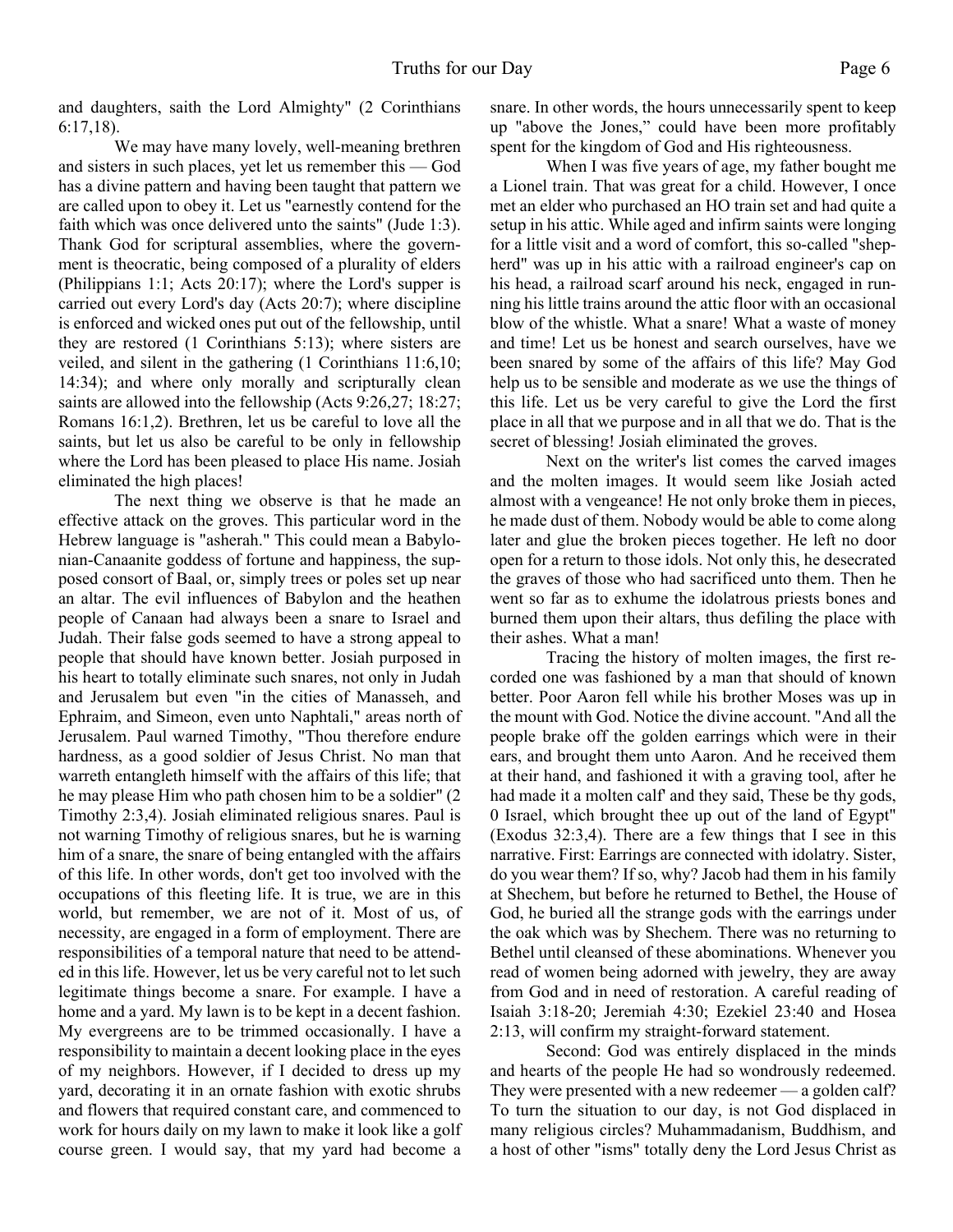and daughters, saith the Lord Almighty" (2 Corinthians 6:17,18).

 We may have many lovely, well-meaning brethren and sisters in such places, yet let us remember this — God has a divine pattern and having been taught that pattern we are called upon to obey it. Let us "earnestly contend for the faith which was once delivered unto the saints" (Jude 1:3). Thank God for scriptural assemblies, where the government is theocratic, being composed of a plurality of elders (Philippians 1:1; Acts 20:17); where the Lord's supper is carried out every Lord's day (Acts 20:7); where discipline is enforced and wicked ones put out of the fellowship, until they are restored (1 Corinthians 5:13); where sisters are veiled, and silent in the gathering (1 Corinthians 11:6,10; 14:34); and where only morally and scripturally clean saints are allowed into the fellowship (Acts 9:26,27; 18:27; Romans 16:1,2). Brethren, let us be careful to love all the saints, but let us also be careful to be only in fellowship where the Lord has been pleased to place His name. Josiah eliminated the high places!

 The next thing we observe is that he made an effective attack on the groves. This particular word in the Hebrew language is "asherah." This could mean a Babylonian-Canaanite goddess of fortune and happiness, the supposed consort of Baal, or, simply trees or poles set up near an altar. The evil influences of Babylon and the heathen people of Canaan had always been a snare to Israel and Judah. Their false gods seemed to have a strong appeal to people that should have known better. Josiah purposed in his heart to totally eliminate such snares, not only in Judah and Jerusalem but even "in the cities of Manasseh, and Ephraim, and Simeon, even unto Naphtali," areas north of Jerusalem. Paul warned Timothy, "Thou therefore endure hardness, as a good soldier of Jesus Christ. No man that warreth entangleth himself with the affairs of this life; that he may please Him who path chosen him to be a soldier" (2 Timothy 2:3,4). Josiah eliminated religious snares. Paul is not warning Timothy of religious snares, but he is warning him of a snare, the snare of being entangled with the affairs of this life. In other words, don't get too involved with the occupations of this fleeting life. It is true, we are in this world, but remember, we are not of it. Most of us, of necessity, are engaged in a form of employment. There are responsibilities of a temporal nature that need to be attended in this life. However, let us be very careful not to let such legitimate things become a snare. For example. I have a home and a yard. My lawn is to be kept in a decent fashion. My evergreens are to be trimmed occasionally. I have a responsibility to maintain a decent looking place in the eyes of my neighbors. However, if I decided to dress up my yard, decorating it in an ornate fashion with exotic shrubs and flowers that required constant care, and commenced to work for hours daily on my lawn to make it look like a golf course green. I would say, that my yard had become a snare. In other words, the hours unnecessarily spent to keep up "above the Jones," could have been more profitably spent for the kingdom of God and His righteousness.

 When I was five years of age, my father bought me a Lionel train. That was great for a child. However, I once met an elder who purchased an HO train set and had quite a setup in his attic. While aged and infirm saints were longing for a little visit and a word of comfort, this so-called "shepherd" was up in his attic with a railroad engineer's cap on his head, a railroad scarf around his neck, engaged in running his little trains around the attic floor with an occasional blow of the whistle. What a snare! What a waste of money and time! Let us be honest and search ourselves, have we been snared by some of the affairs of this life? May God help us to be sensible and moderate as we use the things of this life. Let us be very careful to give the Lord the first place in all that we purpose and in all that we do. That is the secret of blessing! Josiah eliminated the groves.

 Next on the writer's list comes the carved images and the molten images. It would seem like Josiah acted almost with a vengeance! He not only broke them in pieces, he made dust of them. Nobody would be able to come along later and glue the broken pieces together. He left no door open for a return to those idols. Not only this, he desecrated the graves of those who had sacrificed unto them. Then he went so far as to exhume the idolatrous priests bones and burned them upon their altars, thus defiling the place with their ashes. What a man!

Tracing the history of molten images, the first recorded one was fashioned by a man that should of known better. Poor Aaron fell while his brother Moses was up in the mount with God. Notice the divine account. "And all the people brake off the golden earrings which were in their ears, and brought them unto Aaron. And he received them at their hand, and fashioned it with a graving tool, after he had made it a molten calf' and they said, These be thy gods, 0 Israel, which brought thee up out of the land of Egypt" (Exodus 32:3,4). There are a few things that I see in this narrative. First: Earrings are connected with idolatry. Sister, do you wear them? If so, why? Jacob had them in his family at Shechem, but before he returned to Bethel, the House of God, he buried all the strange gods with the earrings under the oak which was by Shechem. There was no returning to Bethel until cleansed of these abominations. Whenever you read of women being adorned with jewelry, they are away from God and in need of restoration. A careful reading of Isaiah 3:18-20; Jeremiah 4:30; Ezekiel 23:40 and Hosea 2:13, will confirm my straight-forward statement.

 Second: God was entirely displaced in the minds and hearts of the people He had so wondrously redeemed. They were presented with a new redeemer — a golden calf? To turn the situation to our day, is not God displaced in many religious circles? Muhammadanism, Buddhism, and a host of other "isms" totally deny the Lord Jesus Christ as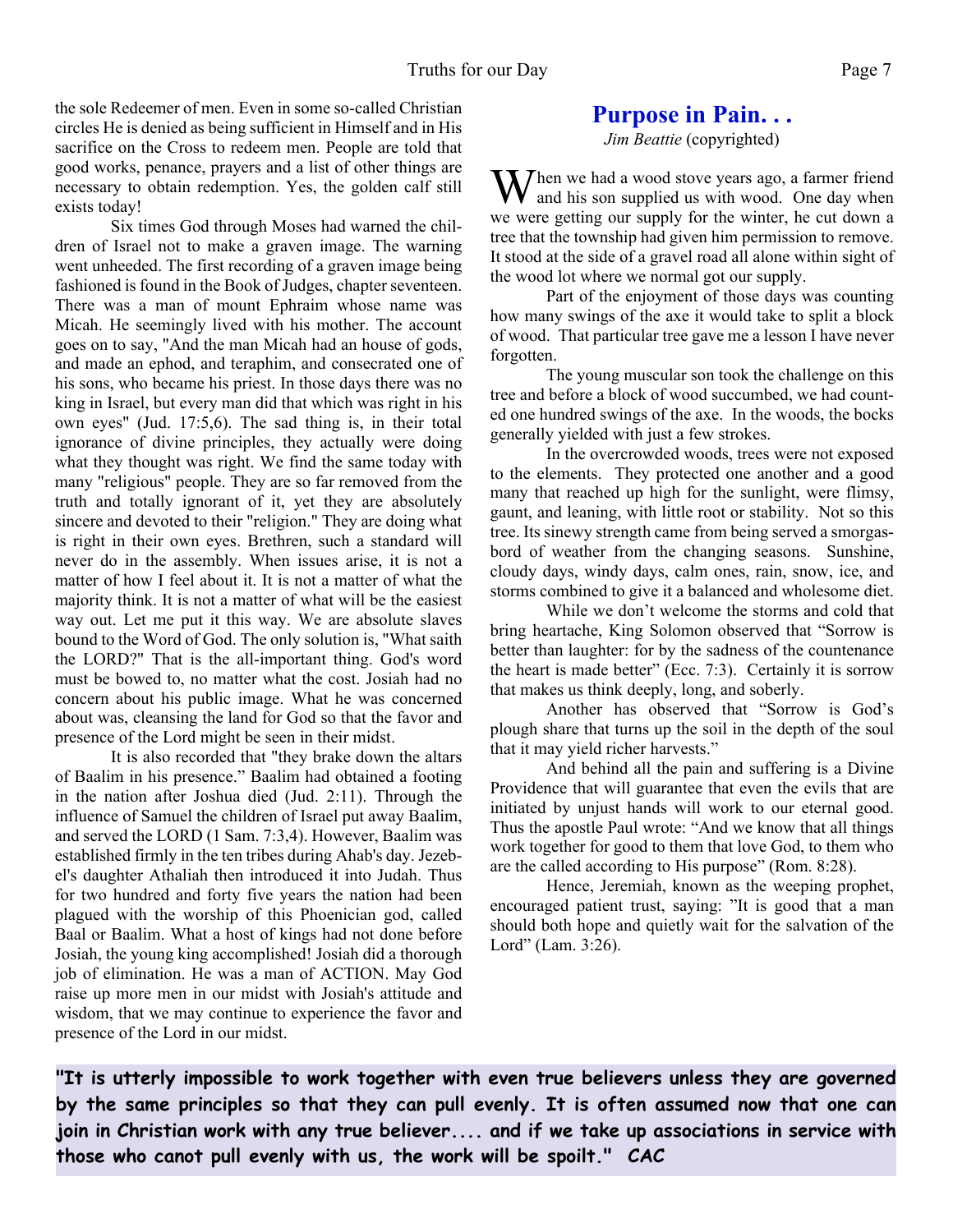the sole Redeemer of men. Even in some so-called Christian circles He is denied as being sufficient in Himself and in His sacrifice on the Cross to redeem men. People are told that good works, penance, prayers and a list of other things are necessary to obtain redemption. Yes, the golden calf still exists today!

 Six times God through Moses had warned the children of Israel not to make a graven image. The warning went unheeded. The first recording of a graven image being fashioned is found in the Book of Judges, chapter seventeen. There was a man of mount Ephraim whose name was Micah. He seemingly lived with his mother. The account goes on to say, "And the man Micah had an house of gods, and made an ephod, and teraphim, and consecrated one of his sons, who became his priest. In those days there was no king in Israel, but every man did that which was right in his own eyes" (Jud. 17:5,6). The sad thing is, in their total ignorance of divine principles, they actually were doing what they thought was right. We find the same today with many "religious" people. They are so far removed from the truth and totally ignorant of it, yet they are absolutely sincere and devoted to their "religion." They are doing what is right in their own eyes. Brethren, such a standard will never do in the assembly. When issues arise, it is not a matter of how I feel about it. It is not a matter of what the majority think. It is not a matter of what will be the easiest way out. Let me put it this way. We are absolute slaves bound to the Word of God. The only solution is, "What saith the LORD?" That is the all-important thing. God's word must be bowed to, no matter what the cost. Josiah had no concern about his public image. What he was concerned about was, cleansing the land for God so that the favor and presence of the Lord might be seen in their midst.

 It is also recorded that "they brake down the altars of Baalim in his presence." Baalim had obtained a footing in the nation after Joshua died (Jud. 2:11). Through the influence of Samuel the children of Israel put away Baalim, and served the LORD (1 Sam. 7:3,4). However, Baalim was established firmly in the ten tribes during Ahab's day. Jezebel's daughter Athaliah then introduced it into Judah. Thus for two hundred and forty five years the nation had been plagued with the worship of this Phoenician god, called Baal or Baalim. What a host of kings had not done before Josiah, the young king accomplished! Josiah did a thorough job of elimination. He was a man of ACTION. May God raise up more men in our midst with Josiah's attitude and wisdom, that we may continue to experience the favor and presence of the Lord in our midst.

## **Purpose in Pain. . .**

*Jim Beattie* (copyrighted)

 $M$ hen we had a wood stove years ago, a farmer friend and his son supplied us with wood. One day when we were getting our supply for the winter, he cut down a tree that the township had given him permission to remove. It stood at the side of a gravel road all alone within sight of the wood lot where we normal got our supply.

Part of the enjoyment of those days was counting how many swings of the axe it would take to split a block of wood. That particular tree gave me a lesson I have never forgotten.

The young muscular son took the challenge on this tree and before a block of wood succumbed, we had counted one hundred swings of the axe. In the woods, the bocks generally yielded with just a few strokes.

In the overcrowded woods, trees were not exposed to the elements. They protected one another and a good many that reached up high for the sunlight, were flimsy, gaunt, and leaning, with little root or stability. Not so this tree. Its sinewy strength came from being served a smorgasbord of weather from the changing seasons. Sunshine, cloudy days, windy days, calm ones, rain, snow, ice, and storms combined to give it a balanced and wholesome diet.

While we don't welcome the storms and cold that bring heartache, King Solomon observed that "Sorrow is better than laughter: for by the sadness of the countenance the heart is made better" (Ecc. 7:3). Certainly it is sorrow that makes us think deeply, long, and soberly.

Another has observed that "Sorrow is God's plough share that turns up the soil in the depth of the soul that it may yield richer harvests."

And behind all the pain and suffering is a Divine Providence that will guarantee that even the evils that are initiated by unjust hands will work to our eternal good. Thus the apostle Paul wrote: "And we know that all things work together for good to them that love God, to them who are the called according to His purpose" (Rom. 8:28).

Hence, Jeremiah, known as the weeping prophet, encouraged patient trust, saying: "It is good that a man should both hope and quietly wait for the salvation of the Lord" (Lam. 3:26).

**"It is utterly impossible to work together with even true believers unless they are governed by the same principles so that they can pull evenly. It is often assumed now that one can join in Christian work with any true believer.... and if we take up associations in service with those who canot pull evenly with us, the work will be spoilt." CAC**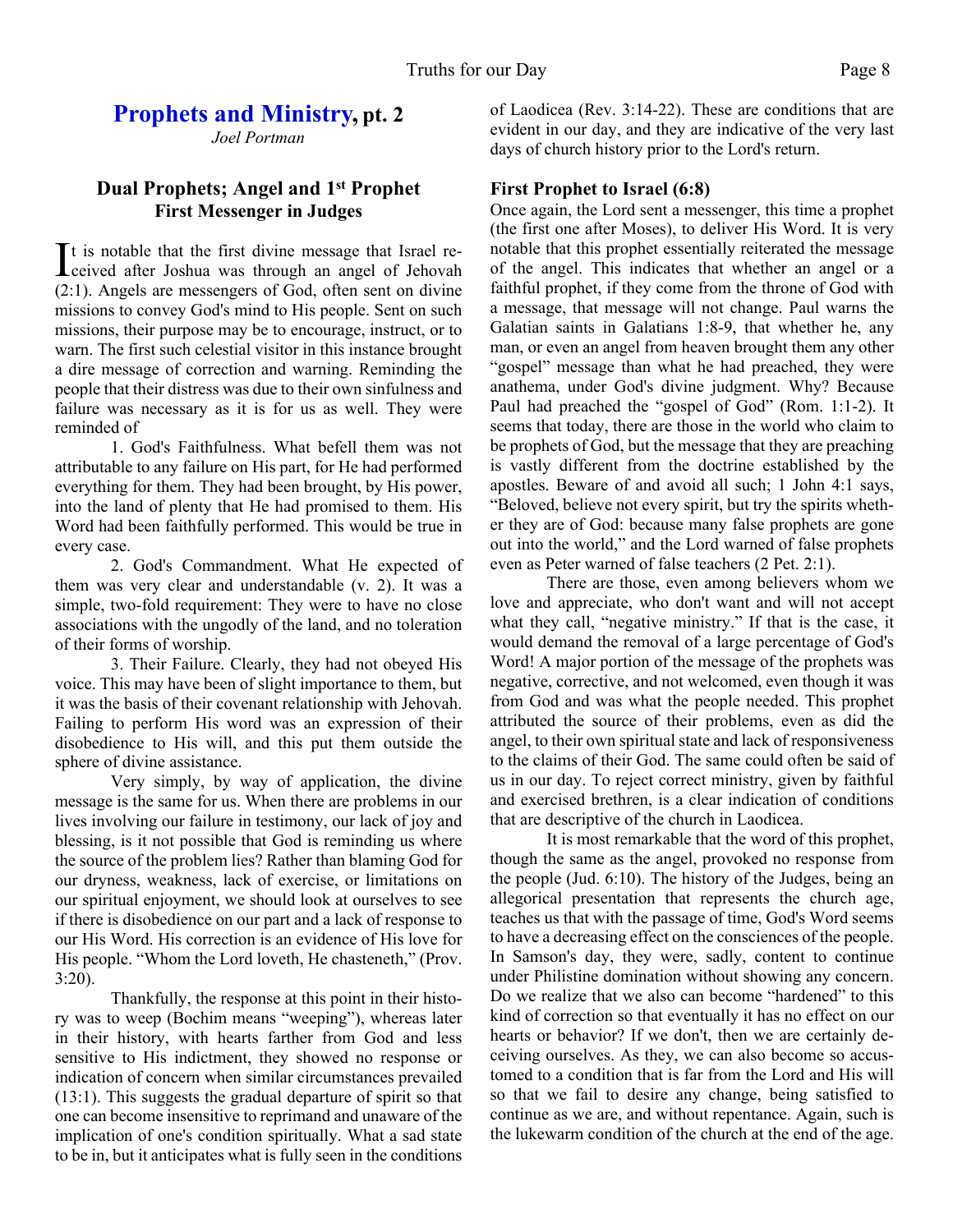# **Prophets and Ministry, pt. 2**

*Joel Portman*

### **Dual Prophets; Angel and 1st Prophet First Messenger in Judges**

It is notable that the first divine message that Israel re-<br>ceived after Joshua was through an angel of Jehovah ceived after Joshua was through an angel of Jehovah (2:1). Angels are messengers of God, often sent on divine missions to convey God's mind to His people. Sent on such missions, their purpose may be to encourage, instruct, or to warn. The first such celestial visitor in this instance brought a dire message of correction and warning. Reminding the people that their distress was due to their own sinfulness and failure was necessary as it is for us as well. They were reminded of

 1. God's Faithfulness. What befell them was not attributable to any failure on His part, for He had performed everything for them. They had been brought, by His power, into the land of plenty that He had promised to them. His Word had been faithfully performed. This would be true in every case.

 2. God's Commandment. What He expected of them was very clear and understandable (v. 2). It was a simple, two-fold requirement: They were to have no close associations with the ungodly of the land, and no toleration of their forms of worship.

 3. Their Failure. Clearly, they had not obeyed His voice. This may have been of slight importance to them, but it was the basis of their covenant relationship with Jehovah. Failing to perform His word was an expression of their disobedience to His will, and this put them outside the sphere of divine assistance.

 Very simply, by way of application, the divine message is the same for us. When there are problems in our lives involving our failure in testimony, our lack of joy and blessing, is it not possible that God is reminding us where the source of the problem lies? Rather than blaming God for our dryness, weakness, lack of exercise, or limitations on our spiritual enjoyment, we should look at ourselves to see if there is disobedience on our part and a lack of response to our His Word. His correction is an evidence of His love for His people. "Whom the Lord loveth, He chasteneth," (Prov. 3:20).

 Thankfully, the response at this point in their history was to weep (Bochim means "weeping"), whereas later in their history, with hearts farther from God and less sensitive to His indictment, they showed no response or indication of concern when similar circumstances prevailed (13:1). This suggests the gradual departure of spirit so that one can become insensitive to reprimand and unaware of the implication of one's condition spiritually. What a sad state to be in, but it anticipates what is fully seen in the conditions

of Laodicea (Rev. 3:14-22). These are conditions that are evident in our day, and they are indicative of the very last days of church history prior to the Lord's return.

#### **First Prophet to Israel (6:8)**

Once again, the Lord sent a messenger, this time a prophet (the first one after Moses), to deliver His Word. It is very notable that this prophet essentially reiterated the message of the angel. This indicates that whether an angel or a faithful prophet, if they come from the throne of God with a message, that message will not change. Paul warns the Galatian saints in Galatians 1:8-9, that whether he, any man, or even an angel from heaven brought them any other "gospel" message than what he had preached, they were anathema, under God's divine judgment. Why? Because Paul had preached the "gospel of God" (Rom. 1:1-2). It seems that today, there are those in the world who claim to be prophets of God, but the message that they are preaching is vastly different from the doctrine established by the apostles. Beware of and avoid all such; 1 John 4:1 says, "Beloved, believe not every spirit, but try the spirits whether they are of God: because many false prophets are gone out into the world," and the Lord warned of false prophets even as Peter warned of false teachers (2 Pet. 2:1).

There are those, even among believers whom we love and appreciate, who don't want and will not accept what they call, "negative ministry." If that is the case, it would demand the removal of a large percentage of God's Word! A major portion of the message of the prophets was negative, corrective, and not welcomed, even though it was from God and was what the people needed. This prophet attributed the source of their problems, even as did the angel, to their own spiritual state and lack of responsiveness to the claims of their God. The same could often be said of us in our day. To reject correct ministry, given by faithful and exercised brethren, is a clear indication of conditions that are descriptive of the church in Laodicea.

It is most remarkable that the word of this prophet, though the same as the angel, provoked no response from the people (Jud. 6:10). The history of the Judges, being an allegorical presentation that represents the church age, teaches us that with the passage of time, God's Word seems to have a decreasing effect on the consciences of the people. In Samson's day, they were, sadly, content to continue under Philistine domination without showing any concern. Do we realize that we also can become "hardened" to this kind of correction so that eventually it has no effect on our hearts or behavior? If we don't, then we are certainly deceiving ourselves. As they, we can also become so accustomed to a condition that is far from the Lord and His will so that we fail to desire any change, being satisfied to continue as we are, and without repentance. Again, such is the lukewarm condition of the church at the end of the age.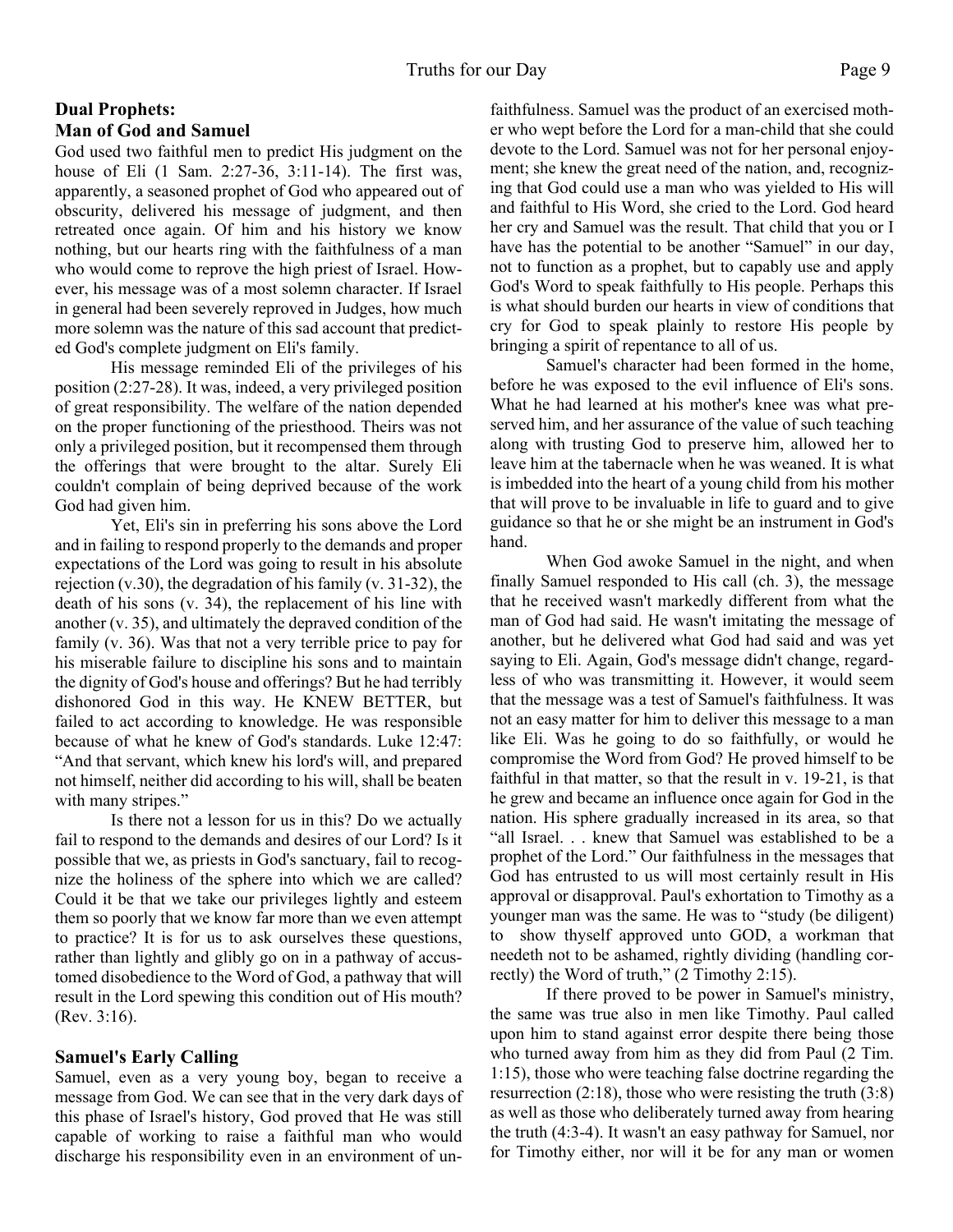#### **Dual Prophets: Man of God and Samuel**

God used two faithful men to predict His judgment on the house of Eli (1 Sam. 2:27-36, 3:11-14). The first was, apparently, a seasoned prophet of God who appeared out of obscurity, delivered his message of judgment, and then retreated once again. Of him and his history we know nothing, but our hearts ring with the faithfulness of a man who would come to reprove the high priest of Israel. However, his message was of a most solemn character. If Israel in general had been severely reproved in Judges, how much more solemn was the nature of this sad account that predicted God's complete judgment on Eli's family.

 His message reminded Eli of the privileges of his position (2:27-28). It was, indeed, a very privileged position of great responsibility. The welfare of the nation depended on the proper functioning of the priesthood. Theirs was not only a privileged position, but it recompensed them through the offerings that were brought to the altar. Surely Eli couldn't complain of being deprived because of the work God had given him.

 Yet, Eli's sin in preferring his sons above the Lord and in failing to respond properly to the demands and proper expectations of the Lord was going to result in his absolute rejection (v.30), the degradation of his family (v. 31-32), the death of his sons (v. 34), the replacement of his line with another (v. 35), and ultimately the depraved condition of the family (v. 36). Was that not a very terrible price to pay for his miserable failure to discipline his sons and to maintain the dignity of God's house and offerings? But he had terribly dishonored God in this way. He KNEW BETTER, but failed to act according to knowledge. He was responsible because of what he knew of God's standards. Luke 12:47: "And that servant, which knew his lord's will, and prepared not himself, neither did according to his will, shall be beaten with many stripes."

 Is there not a lesson for us in this? Do we actually fail to respond to the demands and desires of our Lord? Is it possible that we, as priests in God's sanctuary, fail to recognize the holiness of the sphere into which we are called? Could it be that we take our privileges lightly and esteem them so poorly that we know far more than we even attempt to practice? It is for us to ask ourselves these questions, rather than lightly and glibly go on in a pathway of accustomed disobedience to the Word of God, a pathway that will result in the Lord spewing this condition out of His mouth? (Rev. 3:16).

#### **Samuel's Early Calling**

Samuel, even as a very young boy, began to receive a message from God. We can see that in the very dark days of this phase of Israel's history, God proved that He was still capable of working to raise a faithful man who would discharge his responsibility even in an environment of unfaithfulness. Samuel was the product of an exercised mother who wept before the Lord for a man-child that she could devote to the Lord. Samuel was not for her personal enjoyment; she knew the great need of the nation, and, recognizing that God could use a man who was yielded to His will and faithful to His Word, she cried to the Lord. God heard her cry and Samuel was the result. That child that you or I have has the potential to be another "Samuel" in our day, not to function as a prophet, but to capably use and apply God's Word to speak faithfully to His people. Perhaps this is what should burden our hearts in view of conditions that cry for God to speak plainly to restore His people by bringing a spirit of repentance to all of us.

 Samuel's character had been formed in the home, before he was exposed to the evil influence of Eli's sons. What he had learned at his mother's knee was what preserved him, and her assurance of the value of such teaching along with trusting God to preserve him, allowed her to leave him at the tabernacle when he was weaned. It is what is imbedded into the heart of a young child from his mother that will prove to be invaluable in life to guard and to give guidance so that he or she might be an instrument in God's hand.

 When God awoke Samuel in the night, and when finally Samuel responded to His call (ch. 3), the message that he received wasn't markedly different from what the man of God had said. He wasn't imitating the message of another, but he delivered what God had said and was yet saying to Eli. Again, God's message didn't change, regardless of who was transmitting it. However, it would seem that the message was a test of Samuel's faithfulness. It was not an easy matter for him to deliver this message to a man like Eli. Was he going to do so faithfully, or would he compromise the Word from God? He proved himself to be faithful in that matter, so that the result in v. 19-21, is that he grew and became an influence once again for God in the nation. His sphere gradually increased in its area, so that "all Israel. . . knew that Samuel was established to be a prophet of the Lord." Our faithfulness in the messages that God has entrusted to us will most certainly result in His approval or disapproval. Paul's exhortation to Timothy as a younger man was the same. He was to "study (be diligent) to show thyself approved unto GOD, a workman that needeth not to be ashamed, rightly dividing (handling correctly) the Word of truth," (2 Timothy 2:15).

If there proved to be power in Samuel's ministry, the same was true also in men like Timothy. Paul called upon him to stand against error despite there being those who turned away from him as they did from Paul (2 Tim. 1:15), those who were teaching false doctrine regarding the resurrection (2:18), those who were resisting the truth (3:8) as well as those who deliberately turned away from hearing the truth (4:3-4). It wasn't an easy pathway for Samuel, nor for Timothy either, nor will it be for any man or women